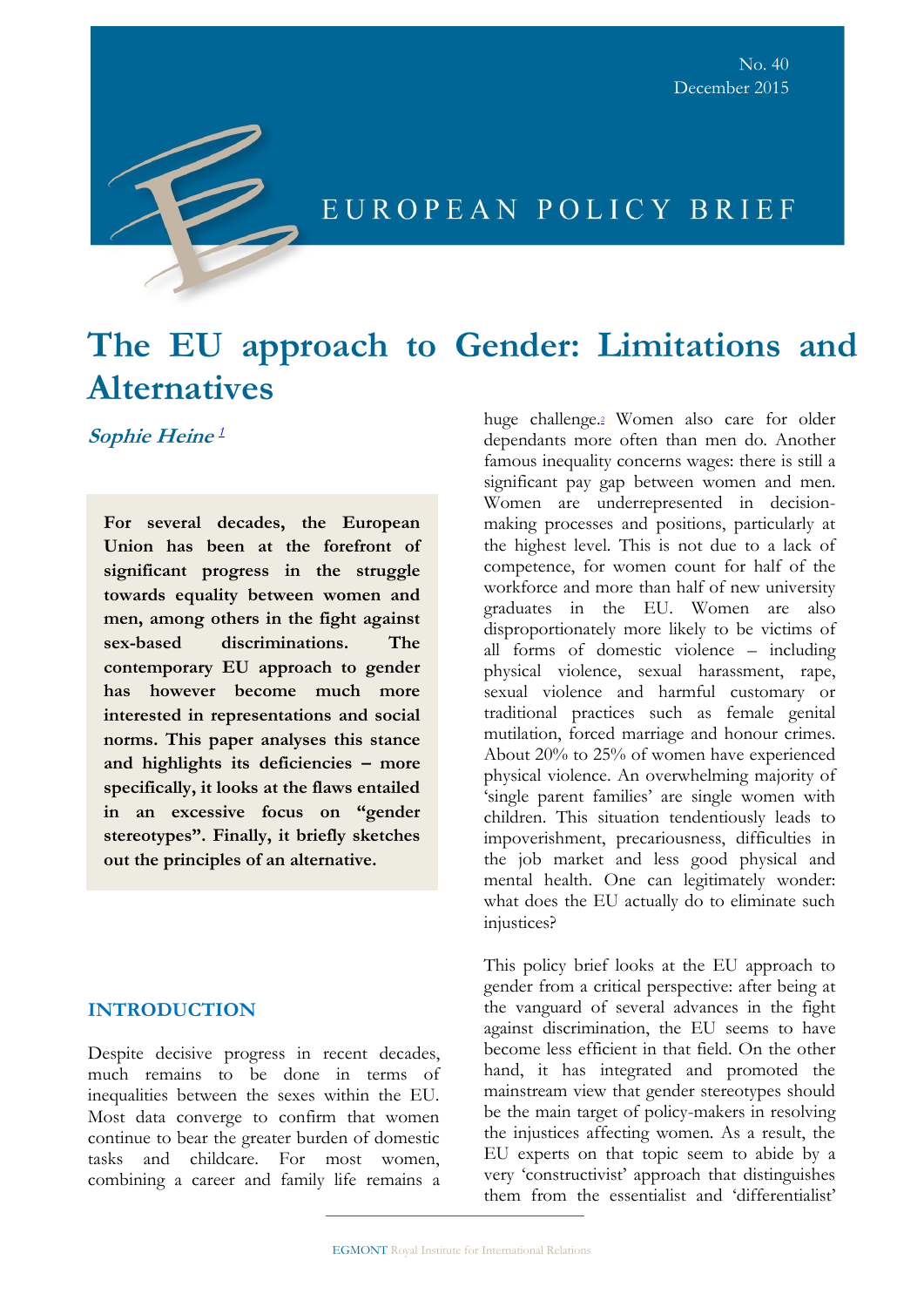

# EUROPEAN POLICY BRIEF

# **The EU approach to Gender: Limitations and Alternatives**

 **Sophie Heine**  *[1](https://outlook.office365.com/owa/#sdfootnote1sym)*

**For several decades, the European Union has been at the forefront of significant progress in the struggle towards equality between women and men, among others in the fight against sex-based discriminations. The contemporary EU approach to gender has however become much more interested in representations and social norms. This paper analyses this stance and highlights its deficiencies – more specifically, it looks at the flaws entailed in an excessive focus on "gender stereotypes". Finally, it briefly sketches out the principles of an alternative.** 

# **INTRODUCTION**

Despite decisive progress in recent decades, much remains to be done in terms of inequalities between the sexes within the EU. Most data converge to confirm that women continue to bear the greater burden of domestic tasks and childcare. For most women, combining a career and family life remains a huge challenge[.](https://outlook.office365.com/owa/#sdfootnote2sym)<sup>2</sup> Women also care for older dependants more often than men do. Another famous inequality concerns wages: there is still a significant pay gap between women and men. Women are underrepresented in decisionmaking processes and positions, particularly at the highest level. This is not due to a lack of competence, for women count for half of the workforce and more than half of new university graduates in the EU. Women are also disproportionately more likely to be victims of all forms of domestic violence – including physical violence, sexual harassment, rape, sexual violence and harmful customary or traditional practices such as female genital mutilation, forced marriage and honour crimes. About 20% to 25% of women have experienced physical violence. An overwhelming majority of 'single parent families' are single women with children. This situation tendentiously leads to impoverishment, precariousness, difficulties in the job market and less good physical and mental health. One can legitimately wonder: what does the EU actually do to eliminate such injustices?

This policy brief looks at the EU approach to gender from a critical perspective: after being at the vanguard of several advances in the fight against discrimination, the EU seems to have become less efficient in that field. On the other hand, it has integrated and promoted the mainstream view that gender stereotypes should be the main target of policy-makers in resolving the injustices affecting women. As a result, the EU experts on that topic seem to abide by a very 'constructivist' approach that distinguishes them from the essentialist and 'differentialist'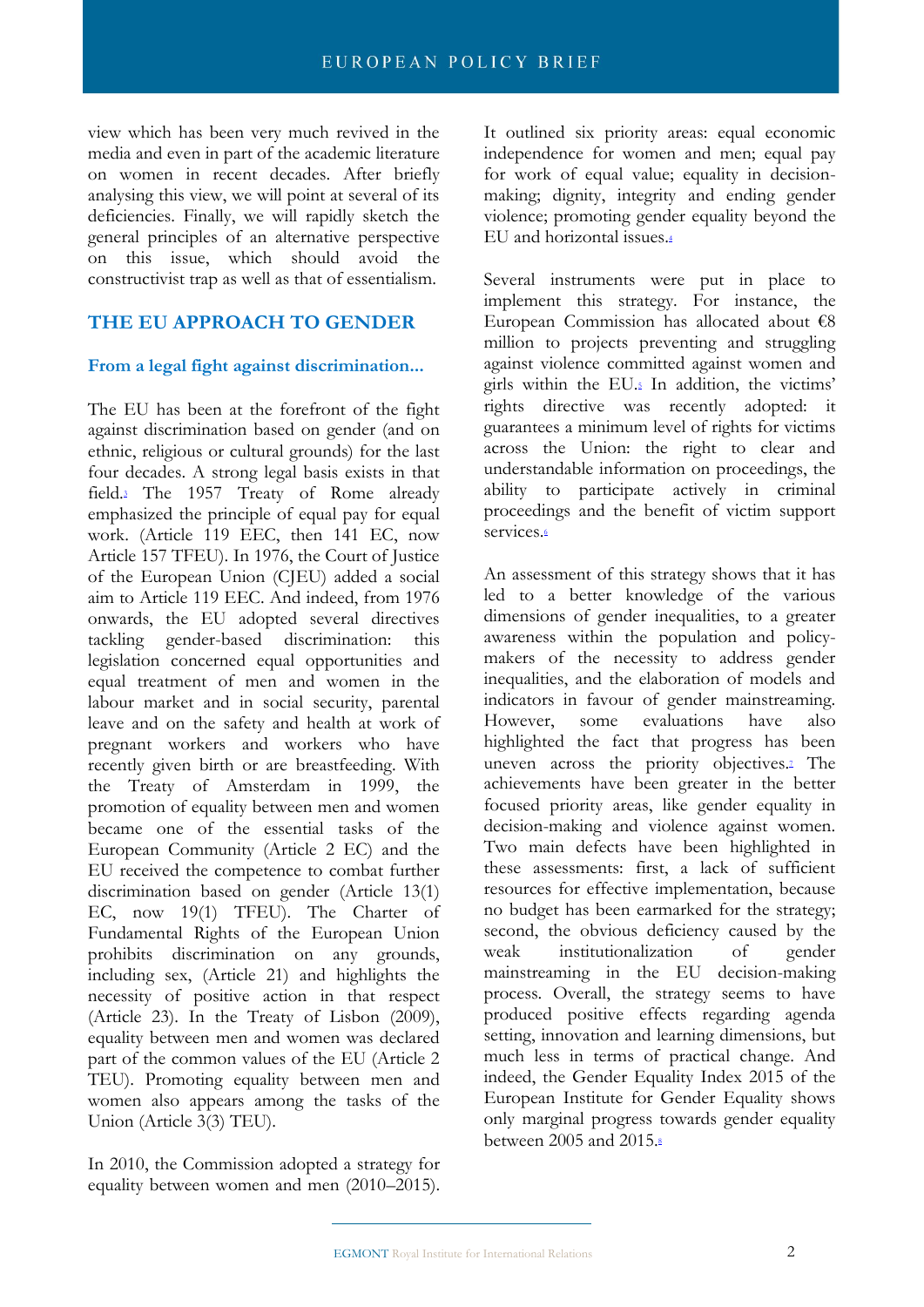view which has been very much revived in the media and even in part of the academic literature on women in recent decades. After briefly analysing this view, we will point at several of its deficiencies. Finally, we will rapidly sketch the general principles of an alternative perspective on this issue, which should avoid the constructivist trap as well as that of essentialism.

# **THE EU APPROACH TO GENDER**

# **From a legal fight against discrimination...**

The EU has been at the forefront of the fight against discrimination based on gender (and on ethnic, religious or cultural grounds) for the last four decades. A strong legal basis exists in that fiel[d.](https://outlook.office365.com/owa/#sdfootnote3sym)<sup>3</sup> The 1957 Treaty of Rome already emphasized the principle of equal pay for equal work. (Article 119 EEC, then 141 EC, now Article 157 TFEU). In 1976, the Court of Justice of the European Union (CJEU) added a social aim to Article 119 EEC. And indeed, from 1976 onwards, the EU adopted several directives tackling gender-based discrimination: this legislation concerned equal opportunities and equal treatment of men and women in the labour market and in social security, parental leave and on the safety and health at work of pregnant workers and workers who have recently given birth or are breastfeeding. With the Treaty of Amsterdam in 1999, the promotion of equality between men and women became one of the essential tasks of the European Community (Article 2 EC) and the EU received the competence to combat further discrimination based on gender (Article 13(1) EC, now 19(1) TFEU). The Charter of Fundamental Rights of the European Union prohibits discrimination on any grounds, including sex, (Article 21) and highlights the necessity of positive action in that respect (Article 23). In the Treaty of Lisbon (2009), equality between men and women was declared part of the common values of the EU (Article 2 TEU). Promoting equality between men and women also appears among the tasks of the Union (Article 3(3) TEU).

In 2010, the Commission adopted a strategy for equality between women and men (2010–2015). It outlined six priority areas: equal economic independence for women and men; equal pay for work of equal value; equality in decisionmaking; dignity, integrity and ending gender violence; promoting gender equality beyond the EU and horizontal issues[.](https://outlook.office365.com/owa/#sdfootnote4sym)<sup>4</sup>

Several instruments were put in place to implement this strategy. For instance, the European Commission has allocated about €8 million to projects preventing and struggling against violence committed against women and girls within the EU[.](https://outlook.office365.com/owa/#sdfootnote5sym)<sup>5</sup> In addition, the victims' rights directive was recently adopted: it guarantees a minimum level of rights for victims across the Union: the right to clear and understandable information on proceedings, the ability to participate actively in criminal proceedings and the benefit of victim support services[.](https://outlook.office365.com/owa/#sdfootnote6sym)<sup>6</sup>

An assessment of this strategy shows that it has led to a better knowledge of the various dimensions of gender inequalities, to a greater awareness within the population and policymakers of the necessity to address gender inequalities, and the elaboration of models and indicators in favour of gender mainstreaming. However, some evaluations have also highlighted the fact that progress has been uneven across the priority objective[s.](https://outlook.office365.com/owa/#sdfootnote7sym)<sup>2</sup> The achievements have been greater in the better focused priority areas, like gender equality in decision-making and violence against women. Two main defects have been highlighted in these assessments: first, a lack of sufficient resources for effective implementation, because no budget has been earmarked for the strategy; second, the obvious deficiency caused by the weak institutionalization of gender mainstreaming in the EU decision-making process. Overall, the strategy seems to have produced positive effects regarding agenda setting, innovation and learning dimensions, but much less in terms of practical change. And indeed, the Gender Equality Index 2015 of the European Institute for Gender Equality shows only marginal progress towards gender equality between 2005 and 2015[.](https://outlook.office365.com/owa/#sdfootnote8sym)8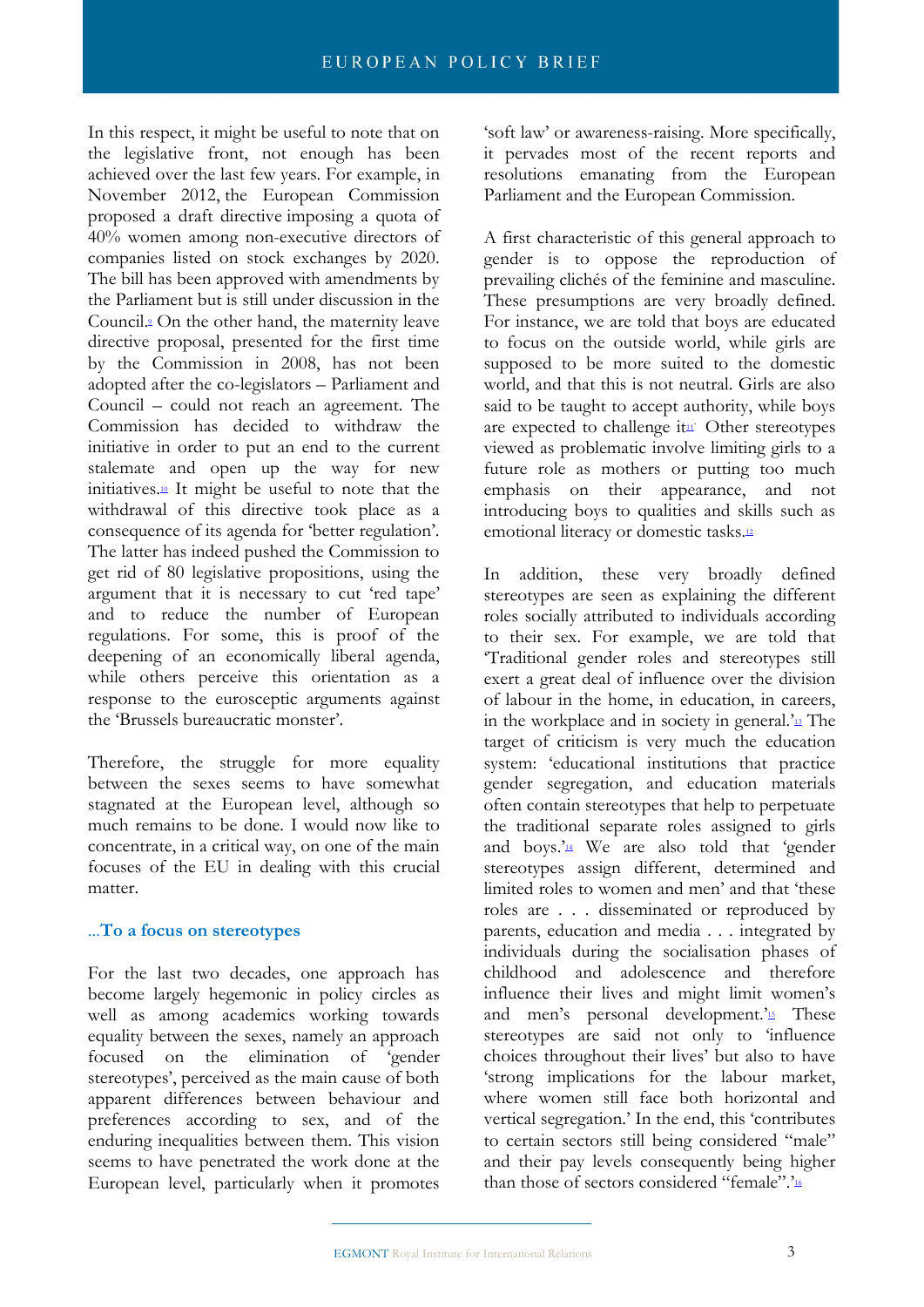In this respect, it might be useful to note that on the legislative front, not enough has been achieved over the last few years. For example, in November 2012, [the European Commission](http://www.euractiv.com/socialeurope/commission-gives-green-light-gen-news-516048)  [proposed a draft directive](http://www.euractiv.com/socialeurope/commission-gives-green-light-gen-news-516048) imposing a quota of 40% women among non-executive directors of companies listed on stock exchanges by 2020. The bill has been approved with amendments by the Parliament but is still under discussion in the Council[.](https://outlook.office365.com/owa/#sdfootnote9sym)<sup>9</sup> On the other hand, the maternity leave directive proposal, presented for the first time by the Commission in 2008, has not been adopted after the co-legislators – Parliament and Council – could not reach an agreement. The Commission has decided to withdraw the initiative in order to put an end to the current stalemate and open up the way for new initiatives[.](https://outlook.office365.com/owa/#sdfootnote10sym)<sup>10</sup> It might be useful to note that the withdrawal of this directive took place as a consequence of its agenda for 'better regulation'. The latter has indeed pushed the Commission to get rid of 80 legislative propositions, using the argument that it is necessary to cut 'red tape' and to reduce the number of European regulations. For some, this is proof of the deepening of an economically liberal agenda, while others perceive this orientation as a response to the eurosceptic arguments against the 'Brussels bureaucratic monster'.

Therefore, the struggle for more equality between the sexes seems to have somewhat stagnated at the European level, although so much remains to be done. I would now like to concentrate, in a critical way, on one of the main focuses of the EU in dealing with this crucial matter.

# ...**To a focus on stereotypes**

For the last two decades, one approach has become largely hegemonic in policy circles as well as among academics working towards equality between the sexes, namely an approach focused on the elimination of 'gender stereotypes', perceived as the main cause of both apparent differences between behaviour and preferences according to sex, and of the enduring inequalities between them. This vision seems to have penetrated the work done at the European level, particularly when it promotes 'soft law' or awareness-raising. More specifically, it pervades most of the recent reports and resolutions emanating from the European Parliament and the European Commission.

A first characteristic of this general approach to gender is to oppose the reproduction of prevailing clichés of the feminine and masculine. These presumptions are very broadly defined. For instance, we are told that boys are educated to focus on the outside world, while girls are supposed to be more suited to the domestic world, and that this is not neutral. Girls are also said to be taught to accept authority, while boys are expec[t](https://outlook.office365.com/owa/#sdfootnote12sym)ed to challenge it<sup>11</sup> Other stereotypes viewed as problematic involve limiting girls to a future role as mothers or putting too much emphasis on their appearance, and not introducing boys to qualities and skills such as emotional literacy or domestic task[s.](https://outlook.office365.com/owa/#sdfootnote12sym)<sup>12</sup>

In addition, these very broadly defined stereotypes are seen as explaining the different roles socially attributed to individuals according to their sex. For example, we are told that 'Traditional gender roles and stereotypes still exert a great deal of influence over the division of labour in the home, in education, in careers, in the workplace and in society in general.'[13](https://outlook.office365.com/owa/#sdfootnote13sym) The target of criticism is very much the education system: 'educational institutions that practice gender segregation, and education materials often contain stereotypes that help to perpetuate the traditional separate roles assigned to girls and boys.['](https://outlook.office365.com/owa/#sdfootnote14sym)<sup>14</sup> We are also told that 'gender stereotypes assign different, determined and limited roles to women and men' and that 'these roles are . . . disseminated or reproduced by parents, education and media . . . integrated by individuals during the socialisation phases of childhood and adolescence and therefore influence their lives and might limit women's and men's personal development.' $\frac{1}{2}$  These stereotypes are said not only to 'influence choices throughout their lives' but also to have 'strong implications for the labour market, where women still face both horizontal and vertical segregation.' In the end, this 'contributes to certain sectors still being considered "male" and their pay levels consequently being higher than those of sectors considered "female".['](https://outlook.office365.com/owa/#sdfootnote16sym)16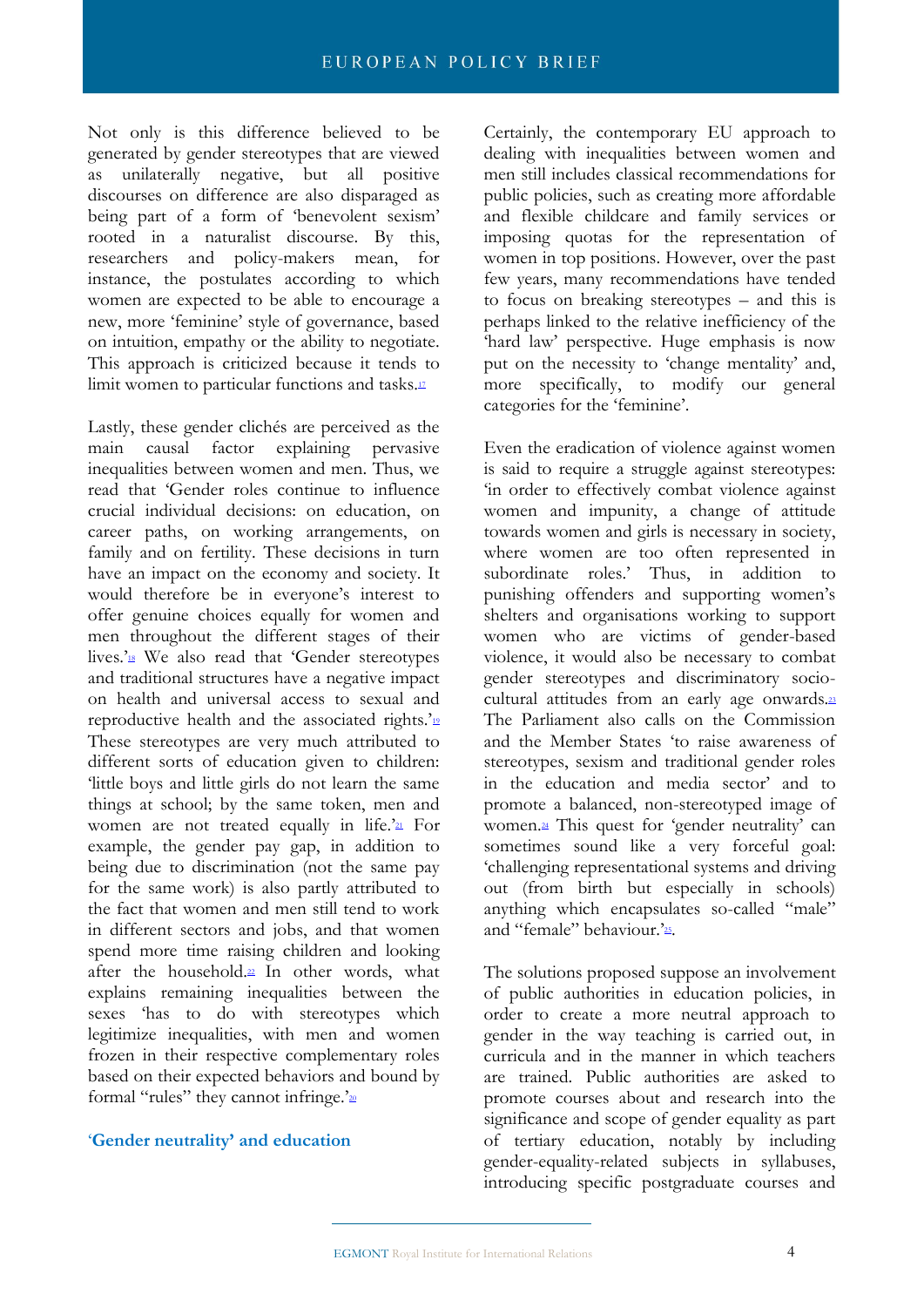Not only is this difference believed to be generated by gender stereotypes that are viewed as unilaterally negative, but all positive discourses on difference are also disparaged as being part of a form of 'benevolent sexism' rooted in a naturalist discourse. By this, researchers and policy-makers mean, for instance, the postulates according to which women are expected to be able to encourage a new, more 'feminine' style of governance, based on intuition, empathy or the ability to negotiate. This approach is criticized because it tends to limit women to particular functions and tasks[.](https://outlook.office365.com/owa/#sdfootnote17sym)<sup>17</sup>

Lastly, these gender clichés are perceived as the main causal factor explaining pervasive inequalities between women and men. Thus, we read that 'Gender roles continue to influence crucial individual decisions: on education, on career paths, on working arrangements, on family and on fertility. These decisions in turn have an impact on the economy and society. It would therefore be in everyone's interest to offer genuine choices equally for women and men throughout the different stages of their lives.['](https://outlook.office365.com/owa/#sdfootnote18sym)<sup>18</sup> We also read that 'Gender stereotypes and traditional structures have a negative impact on health and universal access to sexual and reproductive health and the associated rights.'<sup>[19](https://outlook.office365.com/owa/#sdfootnote19sym)</sup> These stereotypes are very much attributed to different sorts of education given to children: 'little boys and little girls do not learn the same things at school; by the same token, men and women are not treated equally in life.' $\alpha$  For example, the gender pay gap, in addition to being due to discrimination (not the same pay for the same work) is also partly attributed to the fact that women and men still tend to work in different sectors and jobs, and that women spend more time raising children and looking after the household[.](https://outlook.office365.com/owa/#sdfootnote22sym)<sup>22</sup> In other words, what explains remaining inequalities between the sexes 'has to do with stereotypes which legitimize inequalities, with men and women frozen in their respective complementary roles based on their expected behaviors and bound by formal "rules" they cannot infringe.'<sup>[20](https://outlook.office365.com/owa/#sdfootnote20sym)</sup>

#### '**Gender neutrality' and education**

Certainly, the contemporary EU approach to dealing with inequalities between women and men still includes classical recommendations for public policies, such as creating more affordable and flexible childcare and family services or imposing quotas for the representation of women in top positions. However, over the past few years, many recommendations have tended to focus on breaking stereotypes – and this is perhaps linked to the relative inefficiency of the 'hard law' perspective. Huge emphasis is now put on the necessity to 'change mentality' and, more specifically, to modify our general categories for the 'feminine'.

Even the eradication of violence against women is said to require a struggle against stereotypes: 'in order to effectively combat violence against women and impunity, a change of attitude towards women and girls is necessary in society, where women are too often represented in subordinate roles.' Thus, in addition to punishing offenders and supporting women's shelters and organisations working to support women who are victims of gender-based violence, it would also be necessary to combat gender stereotypes and discriminatory sociocultural attitudes from an early age onwards.[23](https://outlook.office365.com/owa/#sdfootnote23sym) The Parliament also calls on the Commission and the Member States 'to raise awareness of stereotypes, sexism and traditional gender roles in the education and media sector' and to promote a balanced, non-stereotyped image of women[.](https://outlook.office365.com/owa/#sdfootnote24sym)<sup>24</sup> This quest for 'gender neutrality' can sometimes sound like a very forceful goal: 'challenging representational systems and driving out (from birth but especially in schools) anything which encapsulates so-called "male" and "female" behaviour.'25[.](https://outlook.office365.com/owa/#sdfootnote25sym)

The solutions proposed suppose an involvement of public authorities in education policies, in order to create a more neutral approach to gender in the way teaching is carried out, in curricula and in the manner in which teachers are trained. Public authorities are asked to promote courses about and research into the significance and scope of gender equality as part of tertiary education, notably by including gender-equality-related subjects in syllabuses, introducing specific postgraduate courses and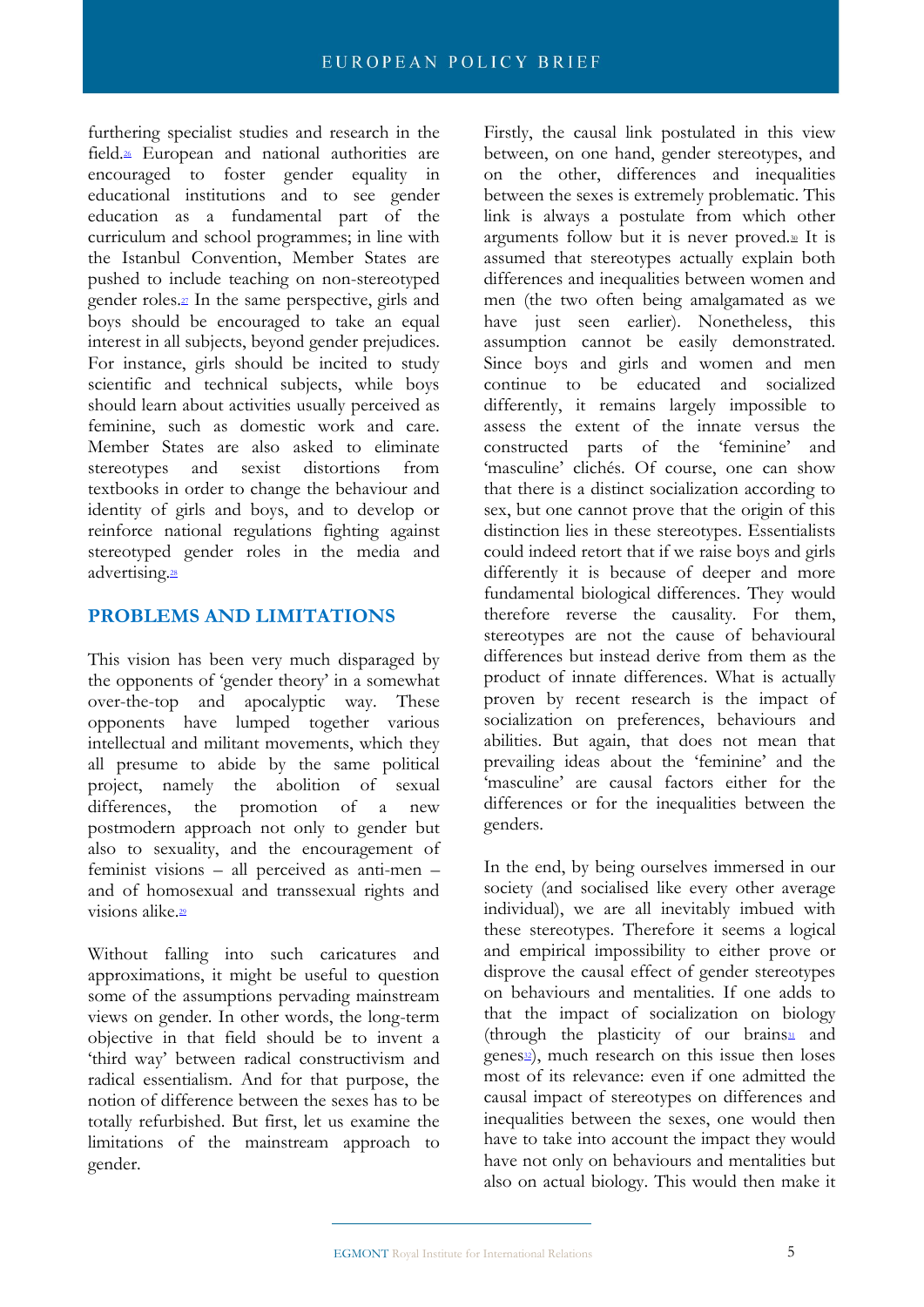furthering specialist studies and research in the fiel[d.](https://outlook.office365.com/owa/#sdfootnote26sym)<sup>26</sup> European and national authorities are encouraged to foster gender equality in educational institutions and to see gender education as a fundamental part of the curriculum and school programmes; in line with the Istanbul Convention, Member States are pushed to include teaching on non-stereotyped gender roles.<sup>21</sup> In the same perspective, girls and boys should be encouraged to take an equal interest in all subjects, beyond gender prejudices. For instance, girls should be incited to study scientific and technical subjects, while boys should learn about activities usually perceived as feminine, such as domestic work and care. Member States are also asked to eliminate stereotypes and sexist distortions from textbooks in order to change the behaviour and identity of girls and boys, and to develop or reinforce national regulations fighting against stereotyped gender roles in the media and advertising[.](https://outlook.office365.com/owa/#sdfootnote28sym)<sup>28</sup>

# **PROBLEMS AND LIMITATIONS**

This vision has been very much disparaged by the opponents of 'gender theory' in a somewhat over-the-top and apocalyptic way. These opponents have lumped together various intellectual and militant movements, which they all presume to abide by the same political project, namely the abolition of sexual differences, the promotion of a new postmodern approach not only to gender but also to sexuality, and the encouragement of feminist visions – all perceived as anti-men – and of homosexual and transsexual rights and visions alike<sup>29</sup>

Without falling into such caricatures and approximations, it might be useful to question some of the assumptions pervading mainstream views on gender. In other words, the long-term objective in that field should be to invent a 'third way' between radical constructivism and radical essentialism. And for that purpose, the notion of difference between the sexes has to be totally refurbished. But first, let us examine the limitations of the mainstream approach to gender.

Firstly, the causal link postulated in this view between, on one hand, gender stereotypes, and on the other, differences and inequalities between the sexes is extremely problematic. This link is always a postulate from which other arguments follow but it is never proved[.](https://outlook.office365.com/owa/#sdfootnote30sym)<sup>30</sup> It is assumed that stereotypes actually explain both differences and inequalities between women and men (the two often being amalgamated as we have just seen earlier). Nonetheless, this assumption cannot be easily demonstrated. Since boys and girls and women and men continue to be educated and socialized differently, it remains largely impossible to assess the extent of the innate versus the constructed parts of the 'feminine' and 'masculine' clichés. Of course, one can show that there is a distinct socialization according to sex, but one cannot prove that the origin of this distinction lies in these stereotypes. Essentialists could indeed retort that if we raise boys and girls differently it is because of deeper and more fundamental biological differences. They would therefore reverse the causality. For them, stereotypes are not the cause of behavioural differences but instead derive from them as the product of innate differences. What is actually proven by recent research is the impact of socialization on preferences, behaviours and abilities. But again, that does not mean that prevailing ideas about the 'feminine' and the 'masculine' are causal factors either for the differences or for the inequalities between the genders.

In the end, by being ourselves immersed in our society (and socialised like every other average individual), we are all inevitably imbued with these stereotypes. Therefore it seems a logical and empirical impossibility to either prove or disprove the causal effect of gender stereotypes on behaviours and mentalities. If one adds to that the impact of socialization on biology (through the pla[s](https://outlook.office365.com/owa/#sdfootnote31sym)ticity of our brains $\frac{31}{2}$  and  $\overline{\text{genes22}}$  $\overline{\text{genes22}}$  $\overline{\text{genes22}}$ , much research on this issue then loses most of its relevance: even if one admitted the causal impact of stereotypes on differences and inequalities between the sexes, one would then have to take into account the impact they would have not only on behaviours and mentalities but also on actual biology. This would then make it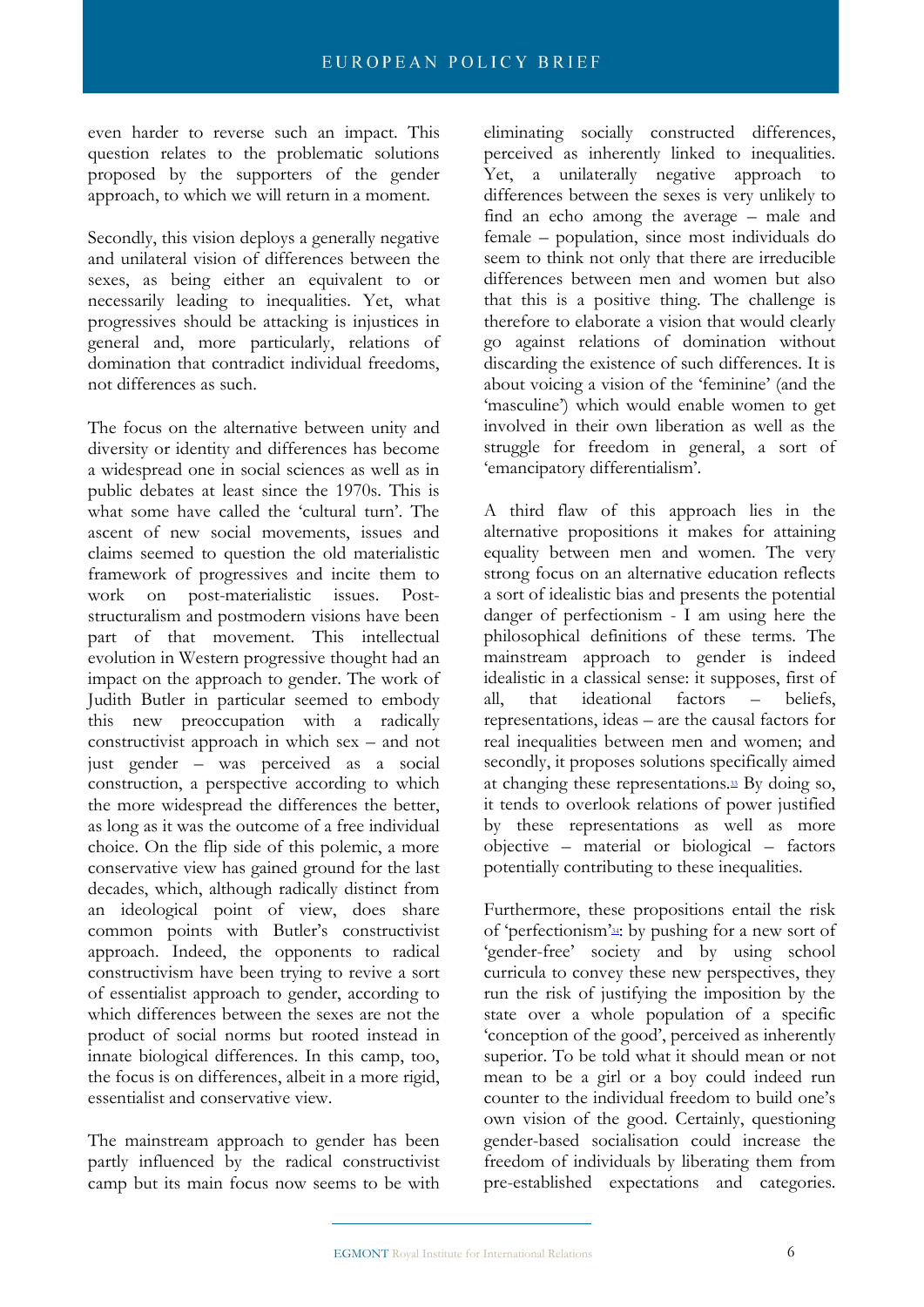even harder to reverse such an impact. This question relates to the problematic solutions proposed by the supporters of the gender approach, to which we will return in a moment.

Secondly, this vision deploys a generally negative and unilateral vision of differences between the sexes, as being either an equivalent to or necessarily leading to inequalities. Yet, what progressives should be attacking is injustices in general and, more particularly, relations of domination that contradict individual freedoms, not differences as such.

The focus on the alternative between unity and diversity or identity and differences has become a widespread one in social sciences as well as in public debates at least since the 1970s. This is what some have called the 'cultural turn'. The ascent of new social movements, issues and claims seemed to question the old materialistic framework of progressives and incite them to work on post-materialistic issues. Poststructuralism and postmodern visions have been part of that movement. This intellectual evolution in Western progressive thought had an impact on the approach to gender. The work of Judith Butler in particular seemed to embody this new preoccupation with a radically constructivist approach in which sex – and not just gender – was perceived as a social construction, a perspective according to which the more widespread the differences the better, as long as it was the outcome of a free individual choice. On the flip side of this polemic, a more conservative view has gained ground for the last decades, which, although radically distinct from an ideological point of view, does share common points with Butler's constructivist approach. Indeed, the opponents to radical constructivism have been trying to revive a sort of essentialist approach to gender, according to which differences between the sexes are not the product of social norms but rooted instead in innate biological differences. In this camp, too, the focus is on differences, albeit in a more rigid, essentialist and conservative view.

The mainstream approach to gender has been partly influenced by the radical constructivist camp but its main focus now seems to be with eliminating socially constructed differences, perceived as inherently linked to inequalities. Yet, a unilaterally negative approach to differences between the sexes is very unlikely to find an echo among the average – male and female – population, since most individuals do seem to think not only that there are irreducible differences between men and women but also that this is a positive thing. The challenge is therefore to elaborate a vision that would clearly go against relations of domination without discarding the existence of such differences. It is about voicing a vision of the 'feminine' (and the 'masculine') which would enable women to get involved in their own liberation as well as the struggle for freedom in general, a sort of 'emancipatory differentialism'.

A third flaw of this approach lies in the alternative propositions it makes for attaining equality between men and women. The very strong focus on an alternative education reflects a sort of idealistic bias and presents the potential danger of perfectionism - I am using here the philosophical definitions of these terms. The mainstream approach to gender is indeed idealistic in a classical sense: it supposes, first of all, that ideational factors – beliefs, representations, ideas – are the causal factors for real inequalities between men and women; and secondly, it proposes solutions specifically aimed at changing these representation[s.](https://outlook.office365.com/owa/#sdfootnote33sym) $\mathbb{E}$  By doing so, it tends to overlook relations of power justified by these representations as well as more objective – material or biological – factors potentially contributing to these inequalities.

Furthermore, these propositions entail the risk of ['](https://outlook.office365.com/owa/#sdfootnote34sym)perfectionism'<sup>34</sup>: by pushing for a new sort of 'gender-free' society and by using school curricula to convey these new perspectives, they run the risk of justifying the imposition by the state over a whole population of a specific 'conception of the good', perceived as inherently superior. To be told what it should mean or not mean to be a girl or a boy could indeed run counter to the individual freedom to build one's own vision of the good. Certainly, questioning gender-based socialisation could increase the freedom of individuals by liberating them from pre-established expectations and categories.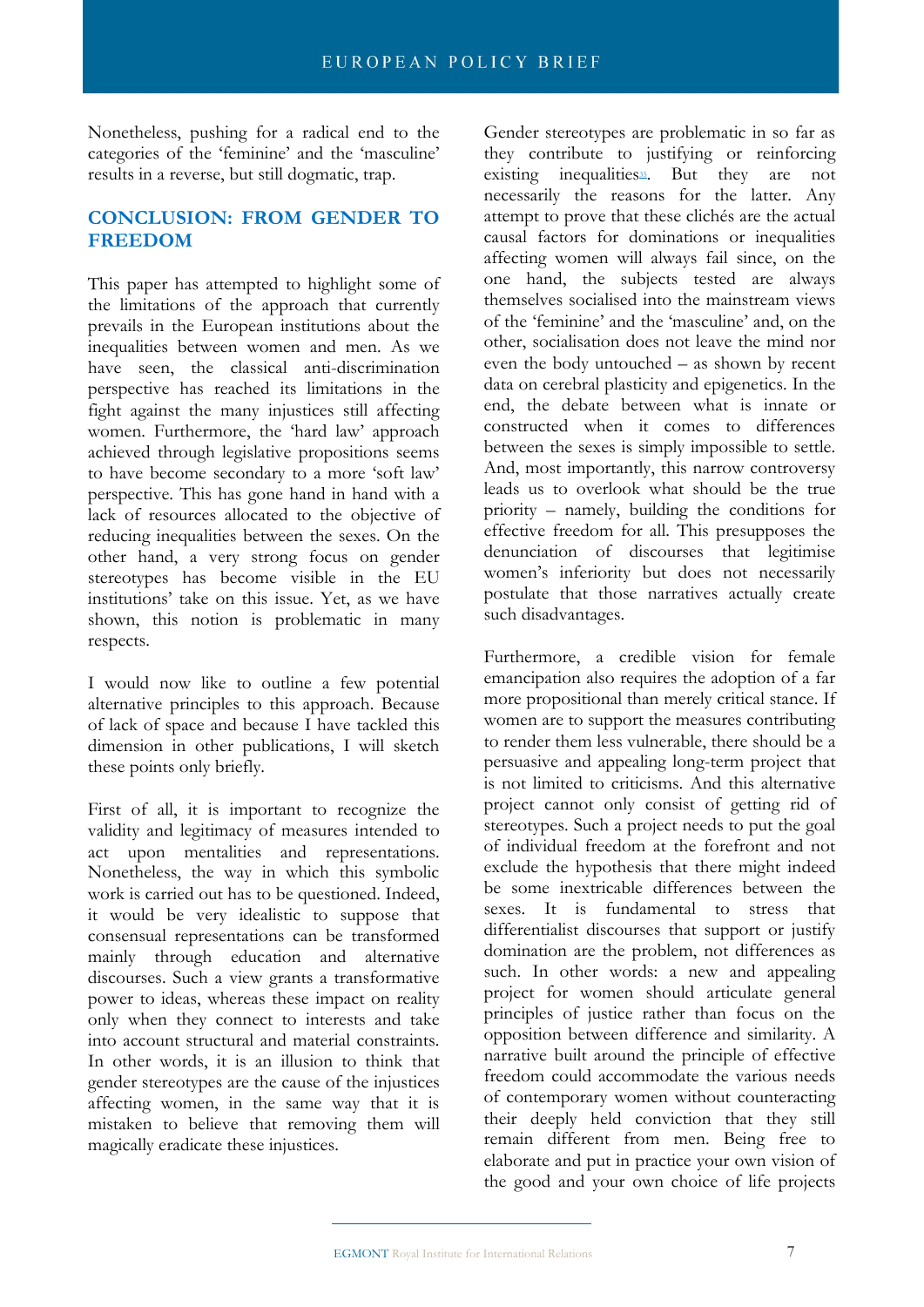Nonetheless, pushing for a radical end to the categories of the 'feminine' and the 'masculine' results in a reverse, but still dogmatic, trap.

# **CONCLUSION: FROM GENDER TO FREEDOM**

This paper has attempted to highlight some of the limitations of the approach that currently prevails in the European institutions about the inequalities between women and men. As we have seen, the classical anti-discrimination perspective has reached its limitations in the fight against the many injustices still affecting women. Furthermore, the 'hard law' approach achieved through legislative propositions seems to have become secondary to a more 'soft law' perspective. This has gone hand in hand with a lack of resources allocated to the objective of reducing inequalities between the sexes. On the other hand, a very strong focus on gender stereotypes has become visible in the EU institutions' take on this issue. Yet, as we have shown, this notion is problematic in many respects.

I would now like to outline a few potential alternative principles to this approach. Because of lack of space and because I have tackled this dimension in other publications, I will sketch these points only briefly.

First of all, it is important to recognize the validity and legitimacy of measures intended to act upon mentalities and representations. Nonetheless, the way in which this symbolic work is carried out has to be questioned. Indeed, it would be very idealistic to suppose that consensual representations can be transformed mainly through education and alternative discourses. Such a view grants a transformative power to ideas, whereas these impact on reality only when they connect to interests and take into account structural and material constraints. In other words, it is an illusion to think that gender stereotypes are the cause of the injustices affecting women, in the same way that it is mistaken to believe that removing them will magically eradicate these injustices.

Gender stereotypes are problematic in so far as they contribute to justifying or reinforcing existing inequalities<sup>35</sup>. But they are not necessarily the reasons for the latter. Any attempt to prove that these clichés are the actual causal factors for dominations or inequalities affecting women will always fail since, on the one hand, the subjects tested are always themselves socialised into the mainstream views of the 'feminine' and the 'masculine' and, on the other, socialisation does not leave the mind nor even the body untouched – as shown by recent data on cerebral plasticity and epigenetics. In the end, the debate between what is innate or constructed when it comes to differences between the sexes is simply impossible to settle. And, most importantly, this narrow controversy leads us to overlook what should be the true priority – namely, building the conditions for effective freedom for all. This presupposes the denunciation of discourses that legitimise women's inferiority but does not necessarily postulate that those narratives actually create such disadvantages.

Furthermore, a credible vision for female emancipation also requires the adoption of a far more propositional than merely critical stance. If women are to support the measures contributing to render them less vulnerable, there should be a persuasive and appealing long-term project that is not limited to criticisms. And this alternative project cannot only consist of getting rid of stereotypes. Such a project needs to put the goal of individual freedom at the forefront and not exclude the hypothesis that there might indeed be some inextricable differences between the sexes. It is fundamental to stress that differentialist discourses that support or justify domination are the problem, not differences as such. In other words: a new and appealing project for women should articulate general principles of justice rather than focus on the opposition between difference and similarity. A narrative built around the principle of effective freedom could accommodate the various needs of contemporary women without counteracting their deeply held conviction that they still remain different from men. Being free to elaborate and put in practice your own vision of the good and your own choice of life projects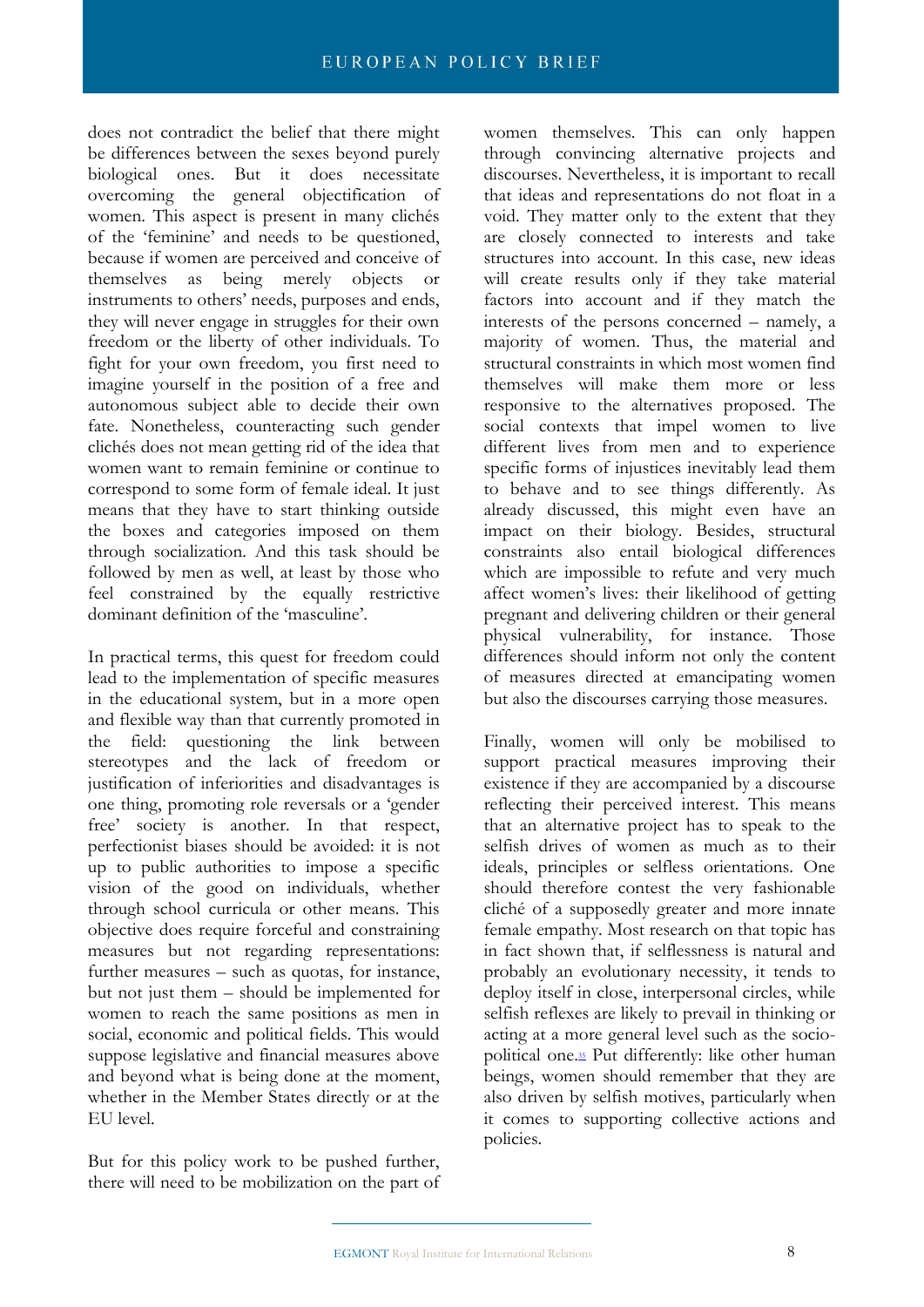does not contradict the belief that there might be differences between the sexes beyond purely biological ones. But it does necessitate overcoming the general objectification of women. This aspect is present in many clichés of the 'feminine' and needs to be questioned, because if women are perceived and conceive of themselves as being merely objects or instruments to others' needs, purposes and ends, they will never engage in struggles for their own freedom or the liberty of other individuals. To fight for your own freedom, you first need to imagine yourself in the position of a free and autonomous subject able to decide their own fate. Nonetheless, counteracting such gender clichés does not mean getting rid of the idea that women want to remain feminine or continue to correspond to some form of female ideal. It just means that they have to start thinking outside the boxes and categories imposed on them through socialization. And this task should be followed by men as well, at least by those who feel constrained by the equally restrictive dominant definition of the 'masculine'.

In practical terms, this quest for freedom could lead to the implementation of specific measures in the educational system, but in a more open and flexible way than that currently promoted in the field: questioning the link between stereotypes and the lack of freedom or justification of inferiorities and disadvantages is one thing, promoting role reversals or a 'gender free' society is another. In that respect, perfectionist biases should be avoided: it is not up to public authorities to impose a specific vision of the good on individuals, whether through school curricula or other means. This objective does require forceful and constraining measures but not regarding representations: further measures – such as quotas, for instance, but not just them – should be implemented for women to reach the same positions as men in social, economic and political fields. This would suppose legislative and financial measures above and beyond what is being done at the moment, whether in the Member States directly or at the EU level.

But for this policy work to be pushed further, there will need to be mobilization on the part of women themselves. This can only happen through convincing alternative projects and discourses. Nevertheless, it is important to recall that ideas and representations do not float in a void. They matter only to the extent that they are closely connected to interests and take structures into account. In this case, new ideas will create results only if they take material factors into account and if they match the interests of the persons concerned – namely, a majority of women. Thus, the material and structural constraints in which most women find themselves will make them more or less responsive to the alternatives proposed. The social contexts that impel women to live different lives from men and to experience specific forms of injustices inevitably lead them to behave and to see things differently. As already discussed, this might even have an impact on their biology. Besides, structural constraints also entail biological differences which are impossible to refute and very much affect women's lives: their likelihood of getting pregnant and delivering children or their general physical vulnerability, for instance. Those differences should inform not only the content of measures directed at emancipating women but also the discourses carrying those measures.

Finally, women will only be mobilised to support practical measures improving their existence if they are accompanied by a discourse reflecting their perceived interest. This means that an alternative project has to speak to the selfish drives of women as much as to their ideals, principles or selfless orientations. One should therefore contest the very fashionable cliché of a supposedly greater and more innate female empathy. Most research on that topic has in fact shown that, if selflessness is natural and probably an evolutionary necessity, it tends to deploy itself in close, interpersonal circles, while selfish reflexes are likely to prevail in thinking or acting at a more general level such as the sociopolitical on[e.](https://outlook.office365.com/owa/#sdfootnote35sym)<sup>35</sup> Put differently: like other human beings, women should remember that they are also driven by selfish motives, particularly when it comes to supporting collective actions and policies.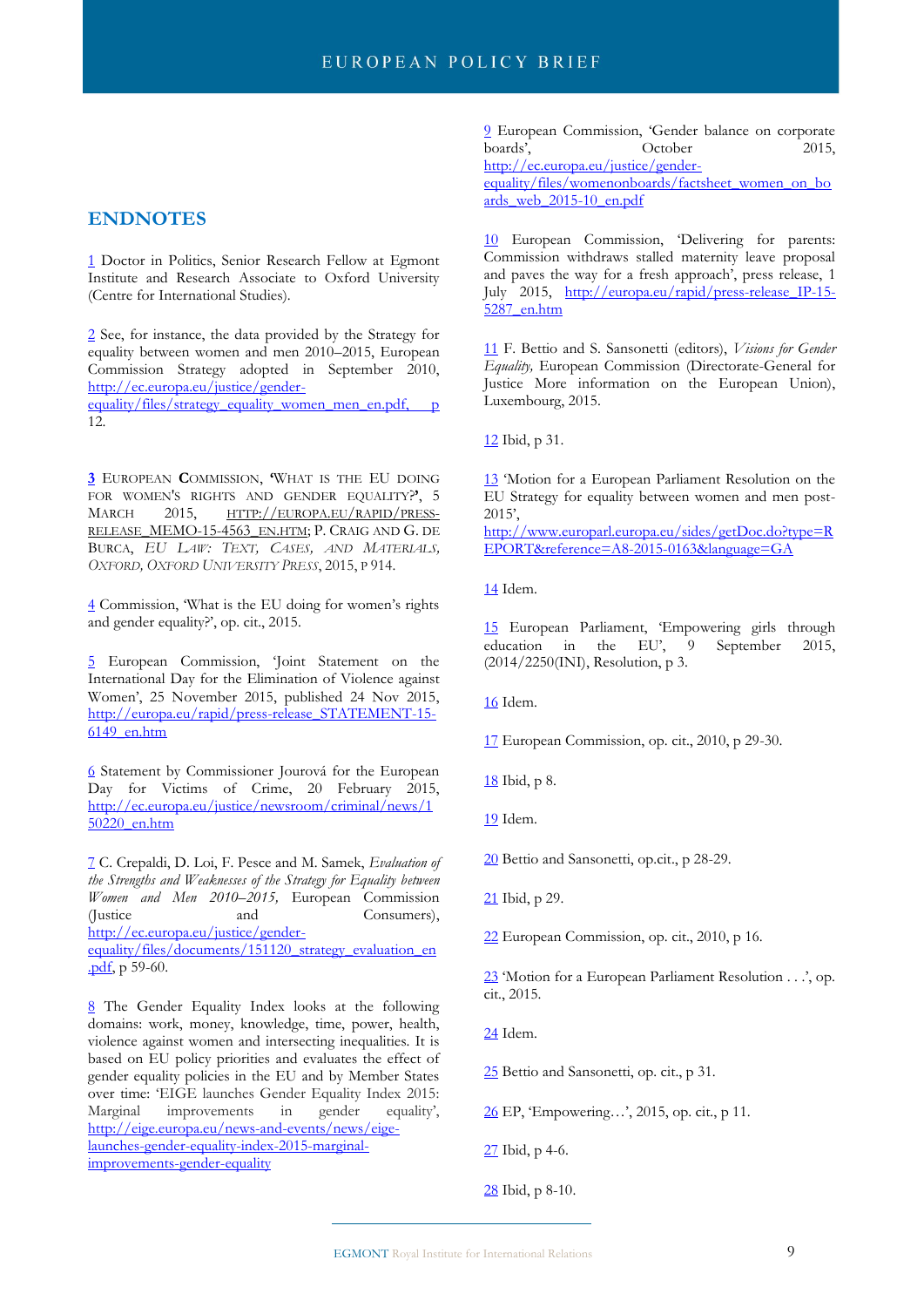#### **ENDNOTES**

[1](https://outlook.office365.com/owa/#sdfootnote1anc) Doctor in Politics, Senior Research Fellow at Egmont Institute and Research Associate to Oxford University (Centre for International Studies).

[2](https://outlook.office365.com/owa/#sdfootnote2anc) See, for instance, the data provided by the Strategy for equality between women and men 2010–2015, European Commission Strategy adopted in September 2010, [http://ec.europa.eu/justice/gender-](http://ec.europa.eu/justice/gender-equality/files/strategy_equality_women_men_en.pdf,p)

[equality/files/strategy\\_equality\\_women\\_men\\_en.pdf, p](http://ec.europa.eu/justice/gender-equality/files/strategy_equality_women_men_en.pdf,p) 12.

**[3](https://outlook.office365.com/owa/#sdfootnote3anc)** EUROPEAN **C**OMMISSION, **'**WHAT IS THE EU DOING FOR WOMEN'S RIGHTS AND GENDER EQUALITY?**'**, 5 MARCH 2015, HTTP://[EUROPA](http://europa.eu/rapid/press-release_MEMO-15-4563_en.htm).EU/RAPID/PRESS-RELEASE MEMO-15-4563 EN.HTM; P. CRAIG AND G. DE BURCA, *EU LAW: TEXT, CASES, AND MATERIALS, OXFORD, OXFORD UNIVERSITY PRESS*, 2015, P 914.

[4](https://outlook.office365.com/owa/#sdfootnote4anc) Commission, 'What is the EU doing for women's rights and gender equality?', op. cit., 2015.

[5](https://outlook.office365.com/owa/#sdfootnote5anc) European Commission, 'Joint Statement on the International Day for the Elimination of Violence against Women', 25 November 2015, published 24 Nov 2015, [http://europa.eu/rapid/press-release\\_STATEMENT-15-](http://europa.eu/rapid/press-release_STATEMENT-15-6149_en.htm) [6149\\_en.htm](http://europa.eu/rapid/press-release_STATEMENT-15-6149_en.htm)

[6](https://outlook.office365.com/owa/#sdfootnote6anc) Statement by Commissioner Jourová for the European Day for Victims of Crime, 20 February 2015, [http://ec.europa.eu/justice/newsroom/criminal/news/1](http://ec.europa.eu/justice/newsroom/criminal/news/150220_en.htm) [50220\\_en.htm](http://ec.europa.eu/justice/newsroom/criminal/news/150220_en.htm)

[7](https://outlook.office365.com/owa/#sdfootnote7anc) C. Crepaldi, D. Loi, F. Pesce and M. Samek, *Evaluation of the Strengths and Weaknesses of the Strategy for Equality between Women and Men 2010–2015,* European Commission (Justice and Consumers), [http://ec.europa.eu/justice/gender](http://ec.europa.eu/justice/gender-equality/files/documents/151120_strategy_evaluation_en.pdf)[equality/files/documents/151120\\_strategy\\_evaluation\\_en](http://ec.europa.eu/justice/gender-equality/files/documents/151120_strategy_evaluation_en.pdf) [.pdf,](http://ec.europa.eu/justice/gender-equality/files/documents/151120_strategy_evaluation_en.pdf) p 59-60.

[8](https://outlook.office365.com/owa/#sdfootnote8anc) The Gender Equality Index looks at the following domains: work, money, knowledge, time, power, health, violence against women and intersecting inequalities. It is based on EU policy priorities and evaluates the effect of gender equality policies in the EU and by Member States over time: 'EIGE launches Gender Equality Index 2015: Marginal improvements in gender equality', [http://eige.europa.eu/news-and-events/news/eige](http://eige.europa.eu/news-and-events/news/eige-launches-gender-equality-index-2015-marginal-improvements-gender-equality)[launches-gender-equality-index-2015-marginal](http://eige.europa.eu/news-and-events/news/eige-launches-gender-equality-index-2015-marginal-improvements-gender-equality)[improvements-gender-equality](http://eige.europa.eu/news-and-events/news/eige-launches-gender-equality-index-2015-marginal-improvements-gender-equality)

[9](https://outlook.office365.com/owa/#sdfootnote9anc) European Commission, 'Gender balance on corporate boards', Corober 2015, [http://ec.europa.eu/justice/gender](http://ec.europa.eu/justice/gender-equality/files/womenonboards/factsheet_women_on_boards_web_2015-10_en.pdf)[equality/files/womenonboards/factsheet\\_women\\_on\\_bo](http://ec.europa.eu/justice/gender-equality/files/womenonboards/factsheet_women_on_boards_web_2015-10_en.pdf)  $ards$  web 2015-10 en.pdf

[10](https://outlook.office365.com/owa/#sdfootnote10anc) European Commission, 'Delivering for parents: Commission withdraws stalled maternity leave proposal and paves the way for a fresh approach', press release, 1 July 2015, [http://europa.eu/rapid/press-release\\_IP-15-](http://europa.eu/rapid/press-release_IP-15-5287_en.htm) [5287\\_en.htm](http://europa.eu/rapid/press-release_IP-15-5287_en.htm)

[11](https://outlook.office365.com/owa/#sdfootnote11anc) F. Bettio and S. Sansonetti (editors), *Visions for Gender Equality,* European Commission (Directorate-General for Justice More information on the European Union), Luxembourg, 2015.

[12](https://outlook.office365.com/owa/#sdfootnote12anc) Ibid, p 31.

[13](https://outlook.office365.com/owa/#sdfootnote13anc) 'Motion for a European Parliament Resolution on the EU Strategy for equality between women and men post-2015',

[http://www.europarl.europa.eu/sides/getDoc.do?type=R](http://www.europarl.europa.eu/sides/getDoc.do?type=REPORT&reference=A8-2015-0163&language=GA) [EPORT&reference=A8-2015-0163&language=GA](http://www.europarl.europa.eu/sides/getDoc.do?type=REPORT&reference=A8-2015-0163&language=GA)

[14](https://outlook.office365.com/owa/#sdfootnote14anc) Idem.

[15](https://outlook.office365.com/owa/#sdfootnote15anc) European Parliament, 'Empowering girls through education in the EU', 9 September 2015, (2014/2250(INI), Resolution, p 3.

[16](https://outlook.office365.com/owa/#sdfootnote16anc) Idem.

[17](https://outlook.office365.com/owa/#sdfootnote17anc) European Commission, op. cit., 2010, p 29-30.

[18](https://outlook.office365.com/owa/#sdfootnote18anc) Ibid, p 8.

[19](https://outlook.office365.com/owa/#sdfootnote19anc) Idem.

- [20](https://outlook.office365.com/owa/#sdfootnote20anc) Bettio and Sansonetti, op.cit., p 28-29.
- [21](https://outlook.office365.com/owa/#sdfootnote21anc) Ibid, p 29.

[22](https://outlook.office365.com/owa/#sdfootnote22anc) European Commission, op. cit., 2010, p 16.

[23](https://outlook.office365.com/owa/#sdfootnote23anc) 'Motion for a European Parliament Resolution . . .', op. cit., 2015.

[24](https://outlook.office365.com/owa/#sdfootnote24anc) Idem.

[25](https://outlook.office365.com/owa/#sdfootnote25anc) Bettio and Sansonetti, op. cit., p 31.

[26](https://outlook.office365.com/owa/#sdfootnote26anc) EP, 'Empowering…', 2015, op. cit., p 11.

[27](https://outlook.office365.com/owa/#sdfootnote27anc) Ibid, p 4-6.

[28](https://outlook.office365.com/owa/#sdfootnote28anc) Ibid, p 8-10.